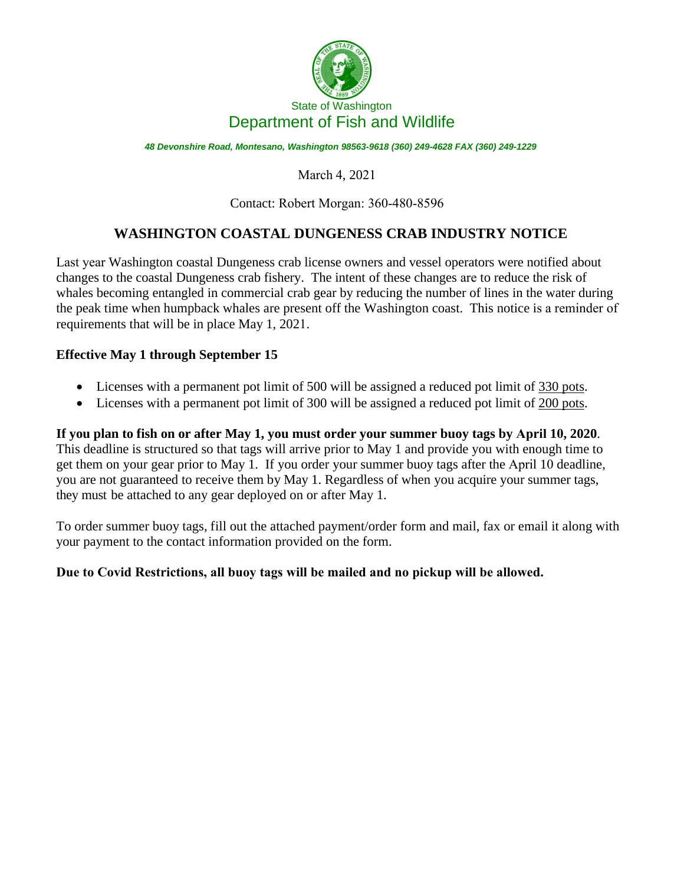

*48 Devonshire Road, Montesano, Washington 98563-9618 (360) 249-4628 FAX (360) 249-1229* 

### March 4, 2021

#### Contact: Robert Morgan: 360-480-8596

## **WASHINGTON COASTAL DUNGENESS CRAB INDUSTRY NOTICE**

Last year Washington coastal Dungeness crab license owners and vessel operators were notified about changes to the coastal Dungeness crab fishery. The intent of these changes are to reduce the risk of whales becoming entangled in commercial crab gear by reducing the number of lines in the water during the peak time when humpback whales are present off the Washington coast. This notice is a reminder of requirements that will be in place May 1, 2021.

#### **Effective May 1 through September 15**

- Licenses with a permanent pot limit of 500 will be assigned a reduced pot limit of 330 pots.
- Licenses with a permanent pot limit of 300 will be assigned a reduced pot limit of 200 pots.

**If you plan to fish on or after May 1, you must order your summer buoy tags by April 10, 2020**. This deadline is structured so that tags will arrive prior to May 1 and provide you with enough time to get them on your gear prior to May 1. If you order your summer buoy tags after the April 10 deadline, you are not guaranteed to receive them by May 1. Regardless of when you acquire your summer tags, they must be attached to any gear deployed on or after May 1.

To order summer buoy tags, fill out the attached payment/order form and mail, fax or email it along with your payment to the contact information provided on the form.

#### **Due to Covid Restrictions, all buoy tags will be mailed and no pickup will be allowed.**